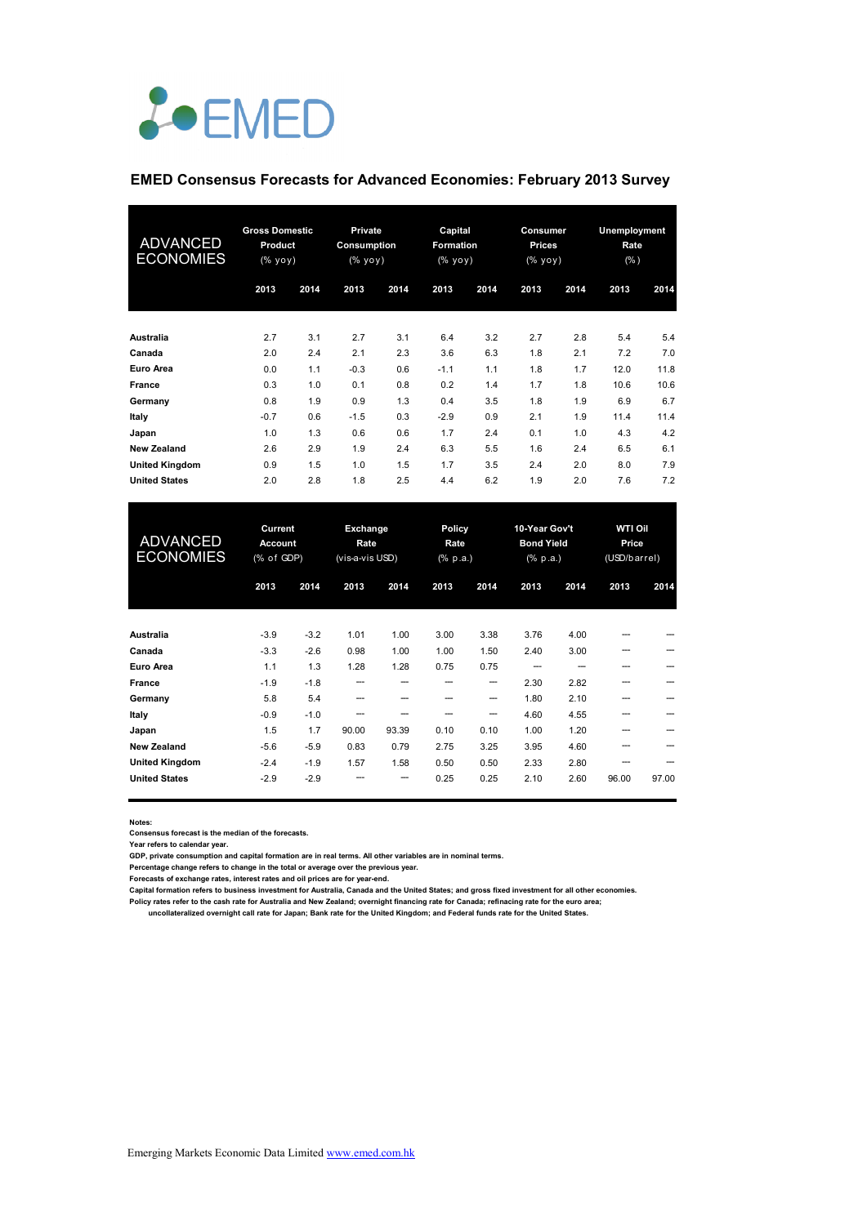

#### **EMED Consensus Forecasts for Advanced Economies: February 2013 Survey**

| <b>ADVANCED</b><br><b>ECONOMIES</b> | <b>Gross Domestic</b><br>Product<br>(% yoy) |      |        |      | Private<br>Consumption<br>(% yoy) |      | Capital<br><b>Formation</b><br>(% yoy) |      | Consumer<br>Prices<br>(% yoy) |      | Unemployment<br>Rate<br>(% ) |  |
|-------------------------------------|---------------------------------------------|------|--------|------|-----------------------------------|------|----------------------------------------|------|-------------------------------|------|------------------------------|--|
|                                     | 2013                                        | 2014 | 2013   | 2014 | 2013                              | 2014 | 2013                                   | 2014 | 2013                          | 2014 |                              |  |
| Australia                           | 2.7                                         | 3.1  | 2.7    | 3.1  | 6.4                               | 3.2  | 2.7                                    | 2.8  | 5.4                           | 5.4  |                              |  |
| Canada                              | 2.0                                         | 2.4  | 2.1    | 2.3  | 3.6                               | 6.3  | 1.8                                    | 2.1  | 7.2                           | 7.0  |                              |  |
| Euro Area                           | 0.0                                         | 1.1  | $-0.3$ | 0.6  | $-1.1$                            | 1.1  | 1.8                                    | 1.7  | 12.0                          | 11.8 |                              |  |
| <b>France</b>                       | 0.3                                         | 1.0  | 0.1    | 0.8  | 0.2                               | 1.4  | 1.7                                    | 1.8  | 10.6                          | 10.6 |                              |  |
| Germany                             | 0.8                                         | 1.9  | 0.9    | 1.3  | 0.4                               | 3.5  | 1.8                                    | 1.9  | 6.9                           | 6.7  |                              |  |
| Italy                               | $-0.7$                                      | 0.6  | $-1.5$ | 0.3  | $-2.9$                            | 0.9  | 2.1                                    | 1.9  | 11.4                          | 11.4 |                              |  |
| Japan                               | 1.0                                         | 1.3  | 0.6    | 0.6  | 1.7                               | 2.4  | 0.1                                    | 1.0  | 4.3                           | 4.2  |                              |  |
| <b>New Zealand</b>                  | 2.6                                         | 2.9  | 1.9    | 2.4  | 6.3                               | 5.5  | 1.6                                    | 2.4  | 6.5                           | 6.1  |                              |  |
| <b>United Kingdom</b>               | 0.9                                         | 1.5  | 1.0    | 1.5  | 1.7                               | 3.5  | 2.4                                    | 2.0  | 8.0                           | 7.9  |                              |  |
| <b>United States</b>                | 2.0                                         | 2.8  | 1.8    | 2.5  | 4.4                               | 6.2  | 1.9                                    | 2.0  | 7.6                           | 7.2  |                              |  |

| <b>ADVANCED</b><br><b>ECONOMIES</b> | Current<br><b>Account</b><br>(% of GDP) |        | Exchange<br>Rate<br>(vis-a-vis USD) |       | Policy<br>Rate<br>(% p.a.) |      | 10-Year Gov't<br><b>Bond Yield</b><br>$(% \mathbb{R}^2)$ (% p.a.) |      | <b>WTI Oil</b><br>Price<br>(USD/barrel) |       |
|-------------------------------------|-----------------------------------------|--------|-------------------------------------|-------|----------------------------|------|-------------------------------------------------------------------|------|-----------------------------------------|-------|
|                                     | 2013                                    | 2014   | 2013                                | 2014  | 2013                       | 2014 | 2013                                                              | 2014 | 2013                                    | 2014  |
| <b>Australia</b>                    | $-3.9$                                  | $-3.2$ | 1.01                                | 1.00  | 3.00                       | 3.38 | 3.76                                                              | 4.00 |                                         |       |
| Canada                              | $-3.3$                                  | $-2.6$ | 0.98                                | 1.00  | 1.00                       | 1.50 | 2.40                                                              | 3.00 |                                         |       |
| Euro Area                           | 1.1                                     | 1.3    | 1.28                                | 1.28  | 0.75                       | 0.75 | ---                                                               |      |                                         |       |
| France                              | $-1.9$                                  | $-1.8$ | ---                                 | --    |                            | --   | 2.30                                                              | 2.82 | ---                                     |       |
| Germany                             | 5.8                                     | 5.4    | ---                                 |       |                            | --   | 1.80                                                              | 2.10 | ---                                     |       |
| Italy                               | $-0.9$                                  | $-1.0$ |                                     |       |                            | --   | 4.60                                                              | 4.55 |                                         |       |
| Japan                               | 1.5                                     | 1.7    | 90.00                               | 93.39 | 0.10                       | 0.10 | 1.00                                                              | 1.20 |                                         |       |
| <b>New Zealand</b>                  | $-5.6$                                  | $-5.9$ | 0.83                                | 0.79  | 2.75                       | 3.25 | 3.95                                                              | 4.60 |                                         |       |
| <b>United Kingdom</b>               | $-2.4$                                  | $-1.9$ | 1.57                                | 1.58  | 0.50                       | 0.50 | 2.33                                                              | 2.80 | ---                                     |       |
| <b>United States</b>                | $-2.9$                                  | $-2.9$ |                                     | --    | 0.25                       | 0.25 | 2.10                                                              | 2.60 | 96.00                                   | 97.00 |

**Notes:** 

**Consensus forecast is the median of the forecasts.**

**Year refers to calendar year.**

**GDP, private consumption and capital formation are in real terms. All other variables are in nominal terms.**

**Percentage change refers to change in the total or average over the previous year. Forecasts of exchange rates, interest rates and oil prices are for year-end.**

**Capital formation refers to business investment for Australia, Canada and the United States; and gross fixed investment for all other economies.** Policy rates refer to the cash rate for Australia and New Zealand; overnight financing rate for Canada; refinacing rate for the euro area;<br>uncollateralized overnight call rate for Japan; Bank rate for the United Kingdom; a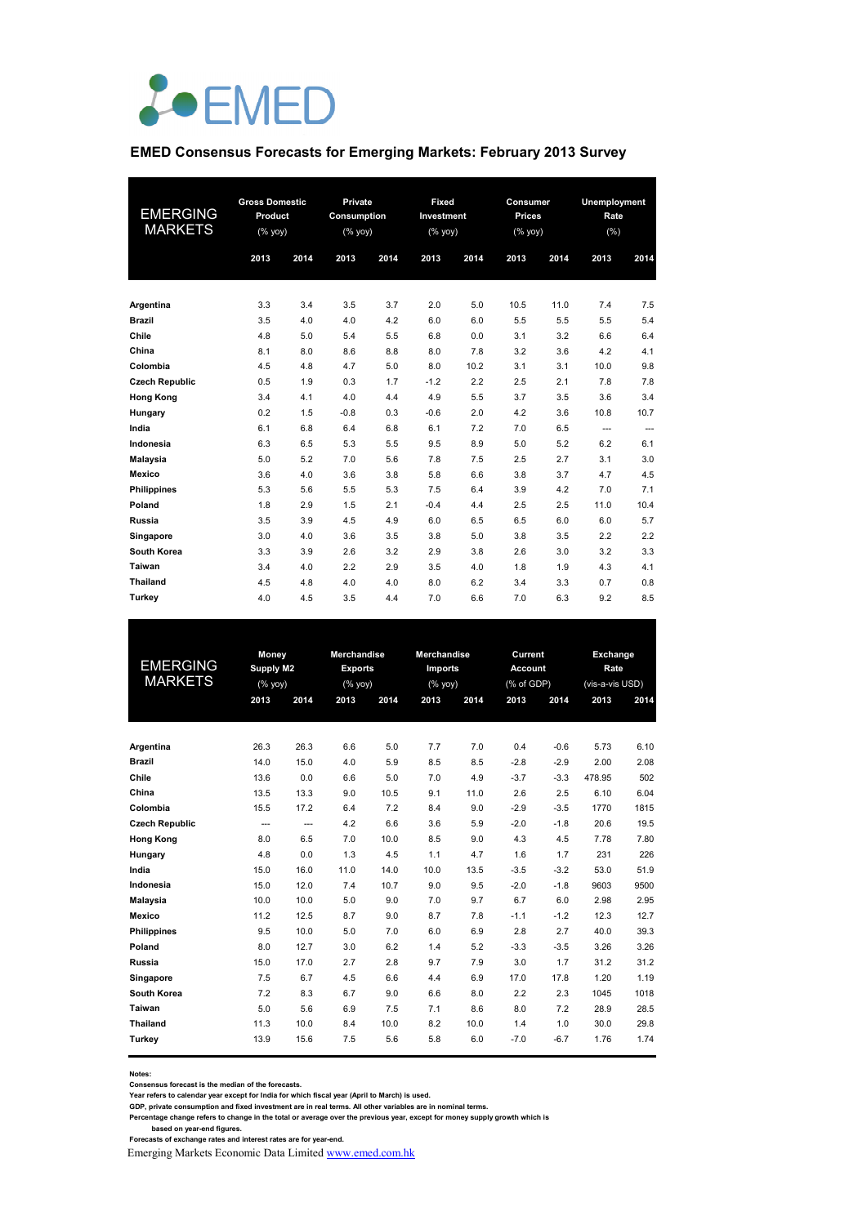

#### **EMED Consensus Forecasts for Emerging Markets: February 2013 Survey**

| EMERGING<br><b>MARKETS</b> | <b>Gross Domestic</b><br>Product<br>$(%$ (% yoy) |      | Private<br><b>Consumption</b><br>$(%$ (% yoy) |      | Fixed<br>Investment<br>(% |      | Consumer<br><b>Prices</b><br>$(% \mathsf{Y}^{\prime }\mathsf{Y}^{\prime }\mathsf{Y}^{\prime })$ |      | Unemployment<br>Rate<br>(% ) |      |  |
|----------------------------|--------------------------------------------------|------|-----------------------------------------------|------|---------------------------|------|-------------------------------------------------------------------------------------------------|------|------------------------------|------|--|
|                            | 2013                                             | 2014 | 2013                                          | 2014 | 2013                      | 2014 | 2013                                                                                            | 2014 | 2013                         | 2014 |  |
| Argentina                  | 3.3                                              | 3.4  | 3.5                                           | 3.7  | 2.0                       | 5.0  | 10.5                                                                                            | 11.0 | 7.4                          | 7.5  |  |
| <b>Brazil</b>              | 3.5                                              | 4.0  | 4.0                                           | 4.2  | 6.0                       | 6.0  | 5.5                                                                                             | 5.5  | 5.5                          | 5.4  |  |
| Chile                      | 4.8                                              | 5.0  | 5.4                                           | 5.5  | 6.8                       | 0.0  | 3.1                                                                                             | 3.2  | 6.6                          | 6.4  |  |
| China                      | 8.1                                              | 8.0  | 8.6                                           | 8.8  | 8.0                       | 7.8  | 3.2                                                                                             | 3.6  | 4.2                          | 4.1  |  |
| Colombia                   | 4.5                                              | 4.8  | 4.7                                           | 5.0  | 8.0                       | 10.2 | 3.1                                                                                             | 3.1  | 10.0                         | 9.8  |  |
| <b>Czech Republic</b>      | 0.5                                              | 1.9  | 0.3                                           | 1.7  | $-1.2$                    | 2.2  | 2.5                                                                                             | 2.1  | 7.8                          | 7.8  |  |
| <b>Hong Kong</b>           | 3.4                                              | 4.1  | 4.0                                           | 4.4  | 4.9                       | 5.5  | 3.7                                                                                             | 3.5  | 3.6                          | 3.4  |  |
| Hungary                    | 0.2                                              | 1.5  | $-0.8$                                        | 0.3  | $-0.6$                    | 2.0  | 4.2                                                                                             | 3.6  | 10.8                         | 10.7 |  |
| India                      | 6.1                                              | 6.8  | 6.4                                           | 6.8  | 6.1                       | 7.2  | 7.0                                                                                             | 6.5  | $\cdots$                     | ---  |  |
| Indonesia                  | 6.3                                              | 6.5  | 5.3                                           | 5.5  | 9.5                       | 8.9  | 5.0                                                                                             | 5.2  | 6.2                          | 6.1  |  |
| Malaysia                   | 5.0                                              | 5.2  | 7.0                                           | 5.6  | 7.8                       | 7.5  | 2.5                                                                                             | 2.7  | 3.1                          | 3.0  |  |
| Mexico                     | 3.6                                              | 4.0  | 3.6                                           | 3.8  | 5.8                       | 6.6  | 3.8                                                                                             | 3.7  | 4.7                          | 4.5  |  |
| <b>Philippines</b>         | 5.3                                              | 5.6  | 5.5                                           | 5.3  | 7.5                       | 6.4  | 3.9                                                                                             | 4.2  | 7.0                          | 7.1  |  |
| Poland                     | 1.8                                              | 2.9  | 1.5                                           | 2.1  | $-0.4$                    | 4.4  | 2.5                                                                                             | 2.5  | 11.0                         | 10.4 |  |
| Russia                     | 3.5                                              | 3.9  | 4.5                                           | 4.9  | 6.0                       | 6.5  | 6.5                                                                                             | 6.0  | 6.0                          | 5.7  |  |
| Singapore                  | 3.0                                              | 4.0  | 3.6                                           | 3.5  | 3.8                       | 5.0  | 3.8                                                                                             | 3.5  | 2.2                          | 2.2  |  |
| South Korea                | 3.3                                              | 3.9  | 2.6                                           | 3.2  | 2.9                       | 3.8  | 2.6                                                                                             | 3.0  | 3.2                          | 3.3  |  |
| Taiwan                     | 3.4                                              | 4.0  | 2.2                                           | 2.9  | 3.5                       | 4.0  | 1.8                                                                                             | 1.9  | 4.3                          | 4.1  |  |
| <b>Thailand</b>            | 4.5                                              | 4.8  | 4.0                                           | 4.0  | 8.0                       | 6.2  | 3.4                                                                                             | 3.3  | 0.7                          | 0.8  |  |
| Turkey                     | 4.0                                              | 4.5  | 3.5                                           | 4.4  | 7.0                       | 6.6  | 7.0                                                                                             | 6.3  | 9.2                          | 8.5  |  |

| <b>EMERGING</b><br><b>MARKETS</b> |      | Money<br>Supply M2<br>(% |      | Merchandise<br><b>Exports</b><br>(% | Merchandise<br>Imports<br>(% yoy) |      | Current<br><b>Account</b><br>(% of GDP) |        |        | Exchange<br>Rate<br>(vis-a-vis USD) |  |
|-----------------------------------|------|--------------------------|------|-------------------------------------|-----------------------------------|------|-----------------------------------------|--------|--------|-------------------------------------|--|
|                                   | 2013 | 2014                     | 2013 | 2014                                | 2013                              | 2014 | 2013                                    | 2014   | 2013   | 2014                                |  |
|                                   |      |                          |      |                                     |                                   |      |                                         |        |        |                                     |  |
| Argentina                         | 26.3 | 26.3                     | 6.6  | 5.0                                 | 7.7                               | 7.0  | 0.4                                     | $-0.6$ | 5.73   | 6.10                                |  |
| <b>Brazil</b>                     | 14.0 | 15.0                     | 4.0  | 5.9                                 | 8.5                               | 8.5  | $-2.8$                                  | $-2.9$ | 2.00   | 2.08                                |  |
| Chile                             | 13.6 | 0.0                      | 6.6  | 5.0                                 | 7.0                               | 4.9  | $-3.7$                                  | $-3.3$ | 478.95 | 502                                 |  |
| China                             | 13.5 | 13.3                     | 9.0  | 10.5                                | 9.1                               | 11.0 | 2.6                                     | 2.5    | 6.10   | 6.04                                |  |
| Colombia                          | 15.5 | 17.2                     | 6.4  | 7.2                                 | 8.4                               | 9.0  | $-2.9$                                  | $-3.5$ | 1770   | 1815                                |  |
| <b>Czech Republic</b>             | ---  | $\overline{\phantom{a}}$ | 4.2  | 6.6                                 | 3.6                               | 5.9  | $-2.0$                                  | $-1.8$ | 20.6   | 19.5                                |  |
| <b>Hong Kong</b>                  | 8.0  | 6.5                      | 7.0  | 10.0                                | 8.5                               | 9.0  | 4.3                                     | 4.5    | 7.78   | 7.80                                |  |
| Hungary                           | 4.8  | 0.0                      | 1.3  | 4.5                                 | 1.1                               | 4.7  | 1.6                                     | 1.7    | 231    | 226                                 |  |
| India                             | 15.0 | 16.0                     | 11.0 | 14.0                                | 10.0                              | 13.5 | $-3.5$                                  | $-3.2$ | 53.0   | 51.9                                |  |
| Indonesia                         | 15.0 | 12.0                     | 7.4  | 10.7                                | 9.0                               | 9.5  | $-2.0$                                  | $-1.8$ | 9603   | 9500                                |  |
| <b>Malaysia</b>                   | 10.0 | 10.0                     | 5.0  | 9.0                                 | 7.0                               | 9.7  | 6.7                                     | 6.0    | 2.98   | 2.95                                |  |
| <b>Mexico</b>                     | 11.2 | 12.5                     | 8.7  | 9.0                                 | 8.7                               | 7.8  | $-1.1$                                  | $-1.2$ | 12.3   | 12.7                                |  |
| <b>Philippines</b>                | 9.5  | 10.0                     | 5.0  | 7.0                                 | 6.0                               | 6.9  | 2.8                                     | 2.7    | 40.0   | 39.3                                |  |
| Poland                            | 8.0  | 12.7                     | 3.0  | 6.2                                 | 1.4                               | 5.2  | $-3.3$                                  | $-3.5$ | 3.26   | 3.26                                |  |
| Russia                            | 15.0 | 17.0                     | 2.7  | 2.8                                 | 9.7                               | 7.9  | 3.0                                     | 1.7    | 31.2   | 31.2                                |  |
| Singapore                         | 7.5  | 6.7                      | 4.5  | 6.6                                 | 4.4                               | 6.9  | 17.0                                    | 17.8   | 1.20   | 1.19                                |  |
| South Korea                       | 7.2  | 8.3                      | 6.7  | 9.0                                 | 6.6                               | 8.0  | 2.2                                     | 2.3    | 1045   | 1018                                |  |
| Taiwan                            | 5.0  | 5.6                      | 6.9  | 7.5                                 | 7.1                               | 8.6  | 8.0                                     | 7.2    | 28.9   | 28.5                                |  |
| <b>Thailand</b>                   | 11.3 | 10.0                     | 8.4  | 10.0                                | 8.2                               | 10.0 | 1.4                                     | 1.0    | 30.0   | 29.8                                |  |
| Turkey                            | 13.9 | 15.6                     | 7.5  | 5.6                                 | 5.8                               | 6.0  | $-7.0$                                  | $-6.7$ | 1.76   | 1.74                                |  |
|                                   |      |                          |      |                                     |                                   |      |                                         |        |        |                                     |  |

**Notes:** 

**Consensus forecast is the median of the forecasts. Year refers to calendar year except for India for which fiscal year (April to March) is used.**

**GDP, private consumption and fixed investment are in real terms. All other variables are in nominal terms.**

Percentage change refers to change in the total or average over the previous year, except for money supply growth which is<br>based on year-end figures.<br>Forecasts of exchange rates and interest rates are for year-end.

Emerging Markets Economic Data Limited www.emed.com.hk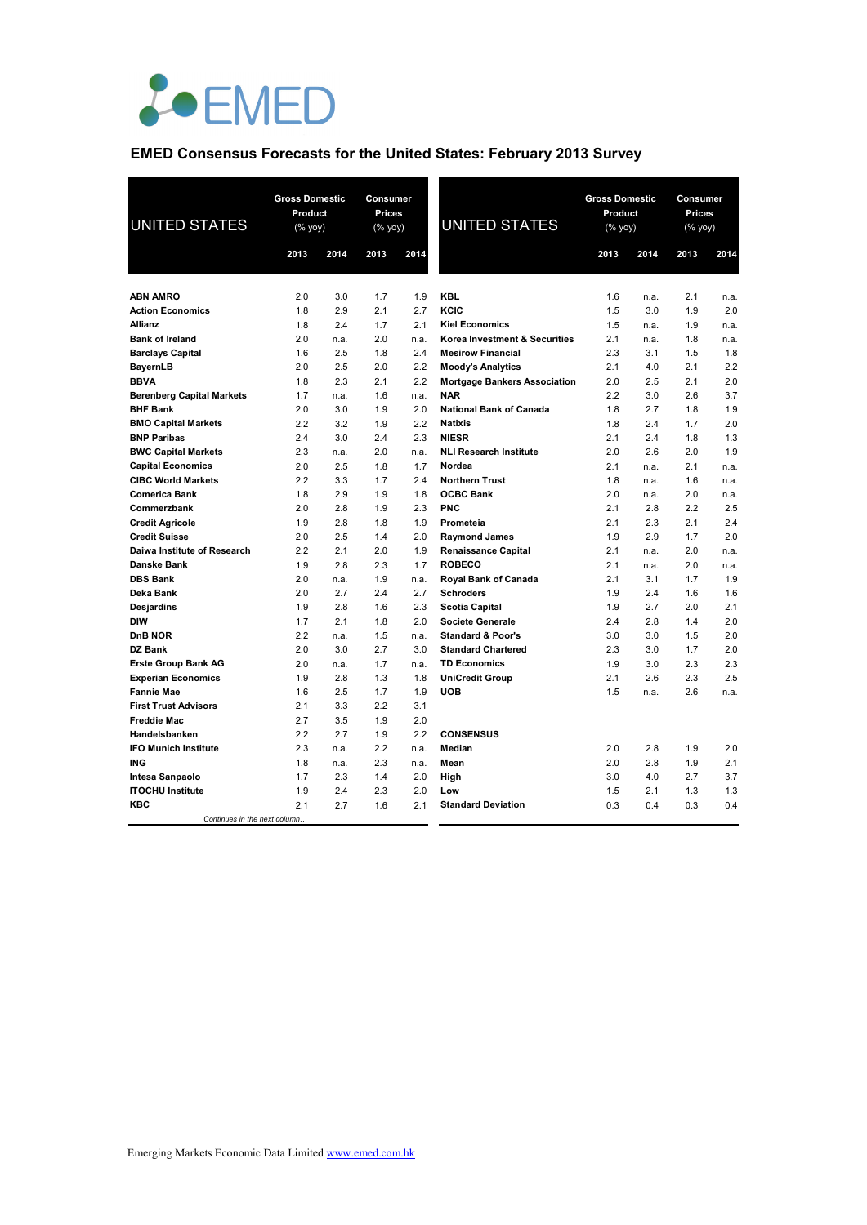

# **EMED Consensus Forecasts for the United States: February 2013 Survey**

| <b>UNITED STATES</b>                       | <b>Gross Domestic</b><br>Product<br>(% yoy) |      | Consumer<br><b>Prices</b><br>(% yoy) |      | <b>UNITED STATES</b>                | <b>Gross Domestic</b><br>Product<br>(% |      | <b>Consumer</b><br>Prices<br>(% yoy) |      |
|--------------------------------------------|---------------------------------------------|------|--------------------------------------|------|-------------------------------------|----------------------------------------|------|--------------------------------------|------|
|                                            | 2013                                        | 2014 | 2013                                 | 2014 |                                     | 2013                                   | 2014 | 2013                                 | 2014 |
|                                            |                                             |      |                                      |      |                                     |                                        |      |                                      |      |
| <b>ABN AMRO</b>                            | 2.0                                         | 3.0  | 1.7                                  | 1.9  | <b>KBL</b>                          | 1.6                                    | n.a. | 2.1                                  | n.a. |
| <b>Action Economics</b>                    | 1.8                                         | 2.9  | 2.1                                  | 2.7  | KCIC                                | 1.5                                    | 3.0  | 1.9                                  | 2.0  |
| <b>Allianz</b>                             | 1.8                                         | 2.4  | 1.7                                  | 2.1  | <b>Kiel Economics</b>               | 1.5                                    | n.a. | 1.9                                  | n.a. |
| <b>Bank of Ireland</b>                     | 2.0                                         | n.a. | 2.0                                  | n.a. | Korea Investment & Securities       | 2.1                                    | n.a. | 1.8                                  | n.a. |
| <b>Barclays Capital</b>                    | 1.6                                         | 2.5  | 1.8                                  | 2.4  | <b>Mesirow Financial</b>            | 2.3                                    | 3.1  | 1.5                                  | 1.8  |
| <b>BayernLB</b>                            | 2.0                                         | 2.5  | 2.0                                  | 2.2  | <b>Moody's Analytics</b>            | 2.1                                    | 4.0  | 2.1                                  | 2.2  |
| <b>BBVA</b>                                | 1.8                                         | 2.3  | 2.1                                  | 2.2  | <b>Mortgage Bankers Association</b> | 2.0                                    | 2.5  | 2.1                                  | 2.0  |
| <b>Berenberg Capital Markets</b>           | 1.7                                         | n.a. | 1.6                                  | n.a. | <b>NAR</b>                          | 2.2                                    | 3.0  | 2.6                                  | 3.7  |
| <b>BHF Bank</b>                            | 2.0                                         | 3.0  | 1.9                                  | 2.0  | <b>National Bank of Canada</b>      | 1.8                                    | 2.7  | 1.8                                  | 1.9  |
| <b>BMO Capital Markets</b>                 | 2.2                                         | 3.2  | 1.9                                  | 2.2  | <b>Natixis</b>                      | 1.8                                    | 2.4  | 1.7                                  | 2.0  |
| <b>BNP Paribas</b>                         | 2.4                                         | 3.0  | 2.4                                  | 2.3  | <b>NIESR</b>                        | 2.1                                    | 2.4  | 1.8                                  | 1.3  |
| <b>BWC Capital Markets</b>                 | 2.3                                         | n.a. | 2.0                                  | n.a. | <b>NLI Research Institute</b>       | 2.0                                    | 2.6  | 2.0                                  | 1.9  |
| <b>Capital Economics</b>                   | 2.0                                         | 2.5  | 1.8                                  | 1.7  | Nordea                              | 2.1                                    | n.a. | 2.1                                  | n.a. |
| <b>CIBC World Markets</b>                  | 2.2                                         | 3.3  | 1.7                                  | 2.4  | <b>Northern Trust</b>               | 1.8                                    | n.a. | 1.6                                  | n.a. |
| <b>Comerica Bank</b>                       | 1.8                                         | 2.9  | 1.9                                  | 1.8  | <b>OCBC Bank</b>                    | 2.0                                    | n.a. | 2.0                                  | n.a. |
| Commerzbank                                | 2.0                                         | 2.8  | 1.9                                  | 2.3  | <b>PNC</b>                          | 2.1                                    | 2.8  | 2.2                                  | 2.5  |
| <b>Credit Agricole</b>                     | 1.9                                         | 2.8  | 1.8                                  | 1.9  | Prometeia                           | 2.1                                    | 2.3  | 2.1                                  | 2.4  |
| <b>Credit Suisse</b>                       | 2.0                                         | 2.5  | 1.4                                  | 2.0  | <b>Raymond James</b>                | 1.9                                    | 2.9  | 1.7                                  | 2.0  |
| Daiwa Institute of Research                | 2.2                                         | 2.1  | 2.0                                  | 1.9  | <b>Renaissance Capital</b>          | 2.1                                    | n.a. | 2.0                                  | n.a. |
| Danske Bank                                | 1.9                                         | 2.8  | 2.3                                  | 1.7  | <b>ROBECO</b>                       | 2.1                                    | n.a. | 2.0                                  | n.a. |
| <b>DBS Bank</b>                            | 2.0                                         | n.a. | 1.9                                  | n.a. | <b>Royal Bank of Canada</b>         | 2.1                                    | 3.1  | 1.7                                  | 1.9  |
| Deka Bank                                  | 2.0                                         | 2.7  | 2.4                                  | 2.7  | <b>Schroders</b>                    | 1.9                                    | 2.4  | 1.6                                  | 1.6  |
| Desjardins                                 | 1.9                                         | 2.8  | 1.6                                  | 2.3  | <b>Scotia Capital</b>               | 1.9                                    | 2.7  | 2.0                                  | 2.1  |
| <b>DIW</b>                                 | 1.7                                         | 2.1  | 1.8                                  | 2.0  | <b>Societe Generale</b>             | 2.4                                    | 2.8  | 1.4                                  | 2.0  |
| DnB NOR                                    | 2.2                                         | n.a. | 1.5                                  | n.a. | <b>Standard &amp; Poor's</b>        | 3.0                                    | 3.0  | 1.5                                  | 2.0  |
| DZ Bank                                    | 2.0                                         | 3.0  | 2.7                                  | 3.0  | <b>Standard Chartered</b>           | 2.3                                    | 3.0  | 1.7                                  | 2.0  |
| <b>Erste Group Bank AG</b>                 | 2.0                                         | n.a. | 1.7                                  | n.a. | <b>TD Economics</b>                 | 1.9                                    | 3.0  | 2.3                                  | 2.3  |
| <b>Experian Economics</b>                  | 1.9                                         | 2.8  | 1.3                                  | 1.8  | <b>UniCredit Group</b>              | 2.1                                    | 2.6  | 2.3                                  | 2.5  |
| <b>Fannie Mae</b>                          | 1.6                                         | 2.5  | 1.7                                  | 1.9  | <b>UOB</b>                          | 1.5                                    | n.a. | 2.6                                  | n.a. |
| <b>First Trust Advisors</b>                | 2.1                                         | 3.3  | 2.2                                  | 3.1  |                                     |                                        |      |                                      |      |
| <b>Freddie Mac</b>                         | 2.7                                         | 3.5  | 1.9                                  | 2.0  |                                     |                                        |      |                                      |      |
| Handelsbanken                              | 2.2                                         | 2.7  | 1.9                                  | 2.2  | <b>CONSENSUS</b>                    |                                        |      |                                      |      |
| <b>IFO Munich Institute</b>                | 2.3                                         | n.a. | 2.2                                  | n.a. | Median                              | 2.0                                    | 2.8  | 1.9                                  | 2.0  |
| <b>ING</b>                                 | 1.8                                         | n.a. | 2.3                                  | n.a. | Mean                                | 2.0                                    | 2.8  | 1.9                                  | 2.1  |
| Intesa Sanpaolo                            | 1.7                                         | 2.3  | 1.4                                  | 2.0  | High                                | 3.0                                    | 4.0  | 2.7                                  | 3.7  |
| <b>ITOCHU Institute</b>                    | 1.9                                         | 2.4  | 2.3                                  | 2.0  | Low                                 | 1.5                                    | 2.1  | 1.3                                  | 1.3  |
| <b>KBC</b><br>Continues in the next column | 2.1                                         | 2.7  | 1.6                                  | 2.1  | <b>Standard Deviation</b>           | 0.3                                    | 0.4  | 0.3                                  | 0.4  |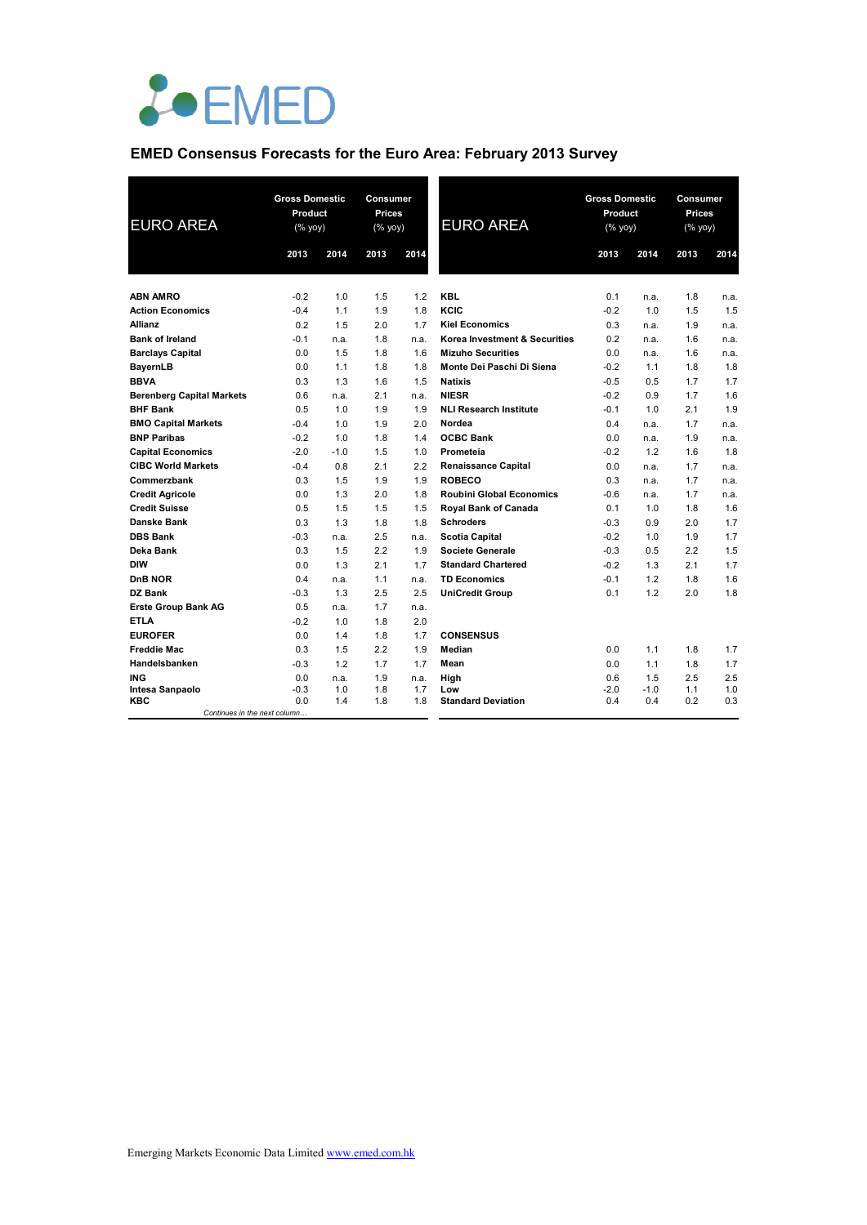

# **EMED Consensus Forecasts for the Euro Area: February 2013 Survey**

| <b>EURO AREA</b>                 | <b>Gross Domestic</b><br>Product<br>(% yoy) |            | Consumer<br>Prices<br>(% yoy) |            | <b>EURO AREA</b>                 | <b>Gross Domestic</b><br>Product<br>$(%$ yoy) |               | Consumer<br>Prices<br>$(% \mathsf{Y}^{\prime }\mathsf{Y}^{\prime }\mathsf{Y}^{\prime })$ |            |
|----------------------------------|---------------------------------------------|------------|-------------------------------|------------|----------------------------------|-----------------------------------------------|---------------|------------------------------------------------------------------------------------------|------------|
|                                  | 2013                                        | 2014       | 2013                          | 2014       |                                  | 2013                                          | 2014          | 2013                                                                                     | 2014       |
| <b>ABN AMRO</b>                  | $-0.2$                                      | 1.0        | 1.5                           | 1.2        | <b>KBL</b>                       | 0.1                                           | n.a.          | 1.8                                                                                      | n.a.       |
| <b>Action Economics</b>          | $-0.4$                                      | 1.1        | 1.9                           | 1.8        | KCIC                             | $-0.2$                                        | 1.0           | 1.5                                                                                      | 1.5        |
| <b>Allianz</b>                   | 0.2                                         | 1.5        | 2.0                           | 1.7        | <b>Kiel Economics</b>            | 0.3                                           | n.a.          | 1.9                                                                                      | n.a.       |
| <b>Bank of Ireland</b>           | $-0.1$                                      | n.a.       | 1.8                           | n.a.       | Korea Investment & Securities    | 0.2                                           | n.a.          | 1.6                                                                                      | n.a.       |
| <b>Barclays Capital</b>          | 0.0                                         | 1.5        | 1.8                           | 1.6        | <b>Mizuho Securities</b>         | 0.0                                           | n.a.          | 1.6                                                                                      | n.a.       |
| <b>BayernLB</b>                  | 0.0                                         | 1.1        | 1.8                           | 1.8        | Monte Dei Paschi Di Siena        | $-0.2$                                        | 1.1           | 1.8                                                                                      | 1.8        |
| <b>BBVA</b>                      | 0.3                                         | 1.3        | 1.6                           | 1.5        | <b>Natixis</b>                   | $-0.5$                                        | 0.5           | 1.7                                                                                      | 1.7        |
| <b>Berenberg Capital Markets</b> | 0.6                                         | n.a.       | 2.1                           | n.a.       | <b>NIESR</b>                     | $-0.2$                                        | 0.9           | 1.7                                                                                      | 1.6        |
| <b>BHF Bank</b>                  | 0.5                                         | 1.0        | 1.9                           | 1.9        | <b>NLI Research Institute</b>    | $-0.1$                                        | 1.0           | 2.1                                                                                      | 1.9        |
| <b>BMO Capital Markets</b>       | $-0.4$                                      | 1.0        | 1.9                           | 2.0        | Nordea                           | 0.4                                           | n.a.          | 1.7                                                                                      | n.a.       |
| <b>BNP Paribas</b>               | $-0.2$                                      | 1.0        | 1.8                           | 1.4        | <b>OCBC Bank</b>                 | 0.0                                           | n.a.          | 1.9                                                                                      | n.a.       |
| <b>Capital Economics</b>         | $-2.0$                                      | $-1.0$     | 1.5                           | 1.0        | Prometeia                        | $-0.2$                                        | 1.2           | 1.6                                                                                      | 1.8        |
| <b>CIBC World Markets</b>        | $-0.4$                                      | 0.8        | 2.1                           | 2.2        | <b>Renaissance Capital</b>       | 0.0                                           | n.a.          | 1.7                                                                                      | n.a.       |
| Commerzbank                      | 0.3                                         | 1.5        | 1.9                           | 1.9        | <b>ROBECO</b>                    | 0.3                                           | n.a.          | 1.7                                                                                      | n.a.       |
| <b>Credit Agricole</b>           | 0.0                                         | 1.3        | 2.0                           | 1.8        | <b>Roubini Global Economics</b>  | $-0.6$                                        | n.a.          | 1.7                                                                                      | n.a.       |
| <b>Credit Suisse</b>             | 0.5                                         | 1.5        | 1.5                           | 1.5        | Royal Bank of Canada             | 0.1                                           | 1.0           | 1.8                                                                                      | 1.6        |
| <b>Danske Bank</b>               | 0.3                                         | 1.3        | 1.8                           | 1.8        | <b>Schroders</b>                 | $-0.3$                                        | 0.9           | 2.0                                                                                      | 1.7        |
| <b>DBS Bank</b>                  | $-0.3$                                      | n.a.       | 2.5                           | n.a.       | <b>Scotia Capital</b>            | $-0.2$                                        | 1.0           | 1.9                                                                                      | 1.7        |
| Deka Bank                        | 0.3                                         | 1.5        | 2.2                           | 1.9        | Societe Generale                 | $-0.3$                                        | 0.5           | 2.2                                                                                      | 1.5        |
| <b>DIW</b>                       | 0.0                                         | 1.3        | 2.1                           | 1.7        | <b>Standard Chartered</b>        | $-0.2$                                        | 1.3           | 2.1                                                                                      | 1.7        |
| DnB NOR                          | 0.4                                         | n.a.       | 1.1                           | n.a.       | <b>TD Economics</b>              | $-0.1$                                        | 1.2           | 1.8                                                                                      | 1.6        |
| <b>DZ Bank</b>                   | $-0.3$                                      | 1.3        | 2.5                           | 2.5        | <b>UniCredit Group</b>           | 0.1                                           | 1.2           | 2.0                                                                                      | 1.8        |
| <b>Erste Group Bank AG</b>       | 0.5                                         | n.a.       | 1.7                           | n.a.       |                                  |                                               |               |                                                                                          |            |
| <b>ETLA</b>                      | $-0.2$                                      | 1.0        | 1.8                           | 2.0        |                                  |                                               |               |                                                                                          |            |
| <b>EUROFER</b>                   | 0.0                                         | 1.4        | 1.8                           | 1.7        | <b>CONSENSUS</b>                 |                                               |               |                                                                                          |            |
| <b>Freddie Mac</b>               | 0.3                                         | 1.5        | 2.2                           | 1.9        | Median                           | 0.0                                           | 1.1           | 1.8                                                                                      | 1.7        |
| Handelsbanken                    | $-0.3$                                      | 1.2        | 1.7                           | 1.7        | Mean                             | 0.0                                           | 1.1           | 1.8                                                                                      | 1.7        |
| ING                              | 0.0                                         | n.a.       | 1.9                           | n.a.       | High                             | 0.6                                           | 1.5           | 2.5                                                                                      | 2.5        |
| Intesa Sanpaolo<br>KBC           | $-0.3$<br>0.0                               | 1.0<br>1.4 | 1.8<br>1.8                    | 1.7<br>1.8 | Low<br><b>Standard Deviation</b> | $-2.0$<br>0.4                                 | $-1.0$<br>0.4 | 1.1<br>0.2                                                                               | 1.0<br>0.3 |
| Continues in the next column     |                                             |            |                               |            |                                  |                                               |               |                                                                                          |            |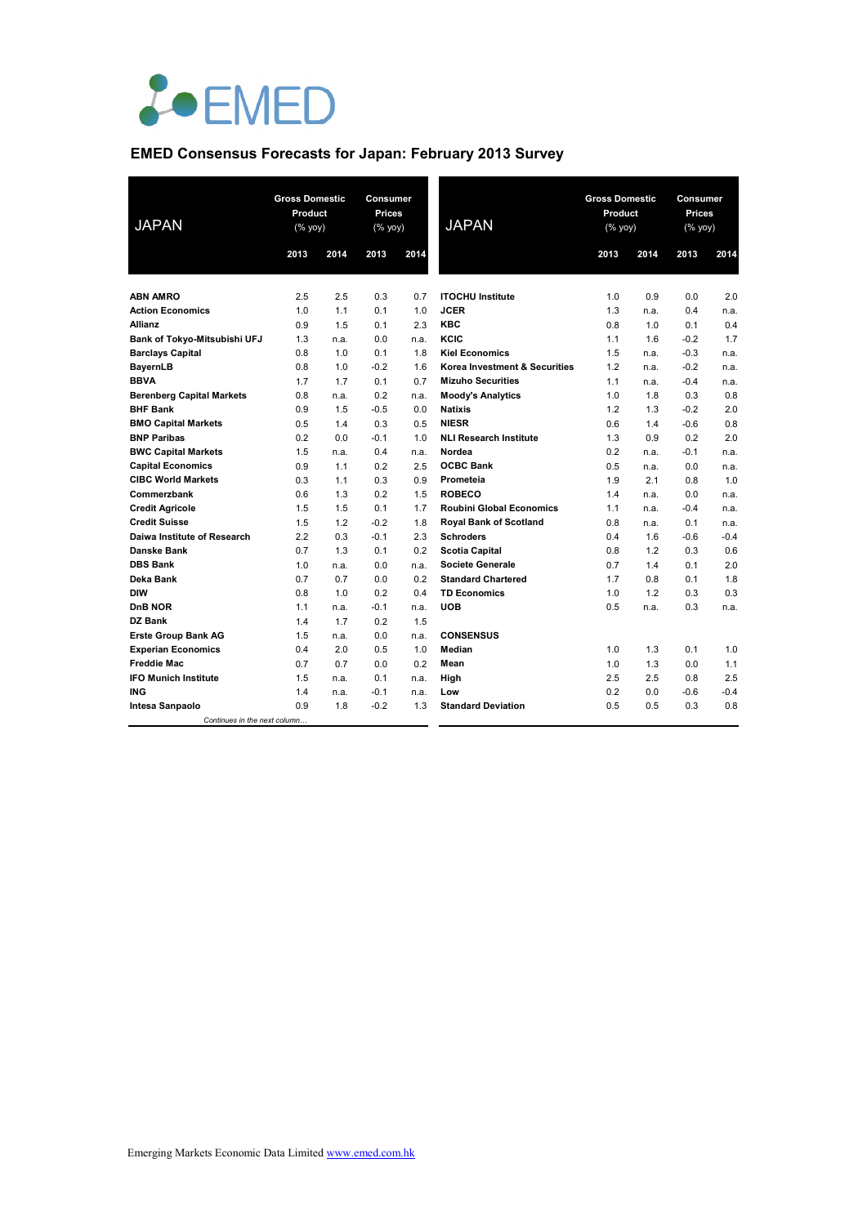

# **EMED Consensus Forecasts for Japan: February 2013 Survey**

| <b>JAPAN</b>                                        | <b>Gross Domestic</b><br>Product<br>$(% \mathsf{Y}^{\prime }\mathsf{Y}^{\prime }\mathsf{Y}^{\prime })$ |             | Consumer<br><b>Prices</b><br>(% yoy) |             | <b>JAPAN</b>                                              | <b>Gross Domestic</b><br>Product<br>(% yoy) |            | Consumer<br><b>Prices</b><br>(% yoy) |             |
|-----------------------------------------------------|--------------------------------------------------------------------------------------------------------|-------------|--------------------------------------|-------------|-----------------------------------------------------------|---------------------------------------------|------------|--------------------------------------|-------------|
|                                                     | 2013                                                                                                   | 2014        | 2013                                 | 2014        |                                                           | 2013                                        | 2014       | 2013                                 | 2014        |
|                                                     |                                                                                                        |             |                                      |             |                                                           |                                             |            |                                      |             |
| <b>ABN AMRO</b>                                     | 2.5                                                                                                    | 2.5         | 0.3                                  | 0.7         | <b>ITOCHU Institute</b>                                   | 1.0                                         | 0.9        | 0.0                                  | 2.0         |
| <b>Action Economics</b>                             | 1.0                                                                                                    | 1.1         | 0.1                                  | 1.0         | <b>JCER</b>                                               | 1.3                                         | n.a.       | 0.4                                  | n.a.        |
| <b>Allianz</b>                                      | 0.9                                                                                                    | 1.5         | 0.1                                  | 2.3         | <b>KBC</b>                                                | 0.8                                         | 1.0        | 0.1                                  | 0.4         |
| Bank of Tokyo-Mitsubishi UFJ                        | 1.3                                                                                                    | n.a.        | 0.0                                  | n.a.        | KCIC                                                      | 1.1                                         | 1.6        | $-0.2$                               | 1.7         |
| <b>Barclays Capital</b>                             | 0.8                                                                                                    | 1.0         | 0.1                                  | 1.8         | <b>Kiel Economics</b>                                     | 1.5                                         | n.a.       | $-0.3$                               | n.a.        |
| BayernLB                                            | 0.8<br>1.7                                                                                             | 1.0<br>1.7  | $-0.2$<br>0.1                        | 1.6<br>0.7  | Korea Investment & Securities<br><b>Mizuho Securities</b> | 1.2<br>1.1                                  | n.a.       | $-0.2$                               | n.a.        |
| <b>BBVA</b>                                         |                                                                                                        |             | 0.2                                  |             |                                                           |                                             | n.a.       | $-0.4$<br>0.3                        | n.a.<br>0.8 |
| <b>Berenberg Capital Markets</b><br><b>BHF Bank</b> | 0.8<br>0.9                                                                                             | n.a.<br>1.5 | $-0.5$                               | n.a.<br>0.0 | <b>Moody's Analytics</b><br><b>Natixis</b>                | 1.0<br>1.2                                  | 1.8<br>1.3 | $-0.2$                               | 2.0         |
| <b>BMO Capital Markets</b>                          | 0.5                                                                                                    | 1.4         | 0.3                                  | 0.5         | <b>NIESR</b>                                              | 0.6                                         | 1.4        | $-0.6$                               | 0.8         |
| <b>BNP Paribas</b>                                  | 0.2                                                                                                    | 0.0         | $-0.1$                               | 1.0         | <b>NLI Research Institute</b>                             | 1.3                                         | 0.9        | 0.2                                  | 2.0         |
| <b>BWC Capital Markets</b>                          | 1.5                                                                                                    | n.a.        | 0.4                                  | n.a.        | Nordea                                                    | 0.2                                         | n.a.       | $-0.1$                               | n.a.        |
| <b>Capital Economics</b>                            | 0.9                                                                                                    | 1.1         | 0.2                                  | 2.5         | <b>OCBC Bank</b>                                          | 0.5                                         | n.a.       | 0.0                                  | n.a.        |
| <b>CIBC World Markets</b>                           | 0.3                                                                                                    | 1.1         | 0.3                                  | 0.9         | Prometeia                                                 | 1.9                                         | 2.1        | 0.8                                  | 1.0         |
| Commerzbank                                         | 0.6                                                                                                    | 1.3         | 0.2                                  | 1.5         | <b>ROBECO</b>                                             | 1.4                                         | n.a.       | 0.0                                  | n.a.        |
| <b>Credit Agricole</b>                              | 1.5                                                                                                    | 1.5         | 0.1                                  | 1.7         | <b>Roubini Global Economics</b>                           | 1.1                                         | n.a.       | $-0.4$                               | n.a.        |
| <b>Credit Suisse</b>                                | 1.5                                                                                                    | 1.2         | $-0.2$                               | 1.8         | <b>Royal Bank of Scotland</b>                             | 0.8                                         | n.a.       | 0.1                                  | n.a.        |
| Daiwa Institute of Research                         | 2.2                                                                                                    | 0.3         | $-0.1$                               | 2.3         | <b>Schroders</b>                                          | 0.4                                         | 1.6        | $-0.6$                               | $-0.4$      |
| <b>Danske Bank</b>                                  | 0.7                                                                                                    | 1.3         | 0.1                                  | 0.2         | <b>Scotia Capital</b>                                     | 0.8                                         | 1.2        | 0.3                                  | 0.6         |
| <b>DBS Bank</b>                                     | 1.0                                                                                                    | n.a.        | 0.0                                  | n.a.        | <b>Societe Generale</b>                                   | 0.7                                         | 1.4        | 0.1                                  | 2.0         |
| Deka Bank                                           | 0.7                                                                                                    | 0.7         | 0.0                                  | 0.2         | <b>Standard Chartered</b>                                 | 1.7                                         | 0.8        | 0.1                                  | 1.8         |
| <b>DIW</b>                                          | 0.8                                                                                                    | 1.0         | 0.2                                  | 0.4         | <b>TD Economics</b>                                       | 1.0                                         | 1.2        | 0.3                                  | 0.3         |
| DnB NOR                                             | 1.1                                                                                                    | n.a.        | $-0.1$                               | n.a.        | <b>UOB</b>                                                | 0.5                                         | n.a.       | 0.3                                  | n.a.        |
| DZ Bank                                             | 1.4                                                                                                    | 1.7         | 0.2                                  | 1.5         |                                                           |                                             |            |                                      |             |
| <b>Erste Group Bank AG</b>                          | 1.5                                                                                                    | n.a.        | 0.0                                  | n.a.        | <b>CONSENSUS</b>                                          |                                             |            |                                      |             |
| <b>Experian Economics</b>                           | 0.4                                                                                                    | 2.0         | 0.5                                  | 1.0         | Median                                                    | 1.0                                         | 1.3        | 0.1                                  | 1.0         |
| <b>Freddie Mac</b>                                  | 0.7                                                                                                    | 0.7         | 0.0                                  | 0.2         | Mean                                                      | 1.0                                         | 1.3        | 0.0                                  | 1.1         |
| <b>IFO Munich Institute</b>                         | 1.5                                                                                                    | n.a.        | 0.1                                  | n.a.        | High                                                      | 2.5                                         | 2.5        | 0.8                                  | 2.5         |
| <b>ING</b>                                          | 1.4                                                                                                    | n.a.        | $-0.1$                               | n.a.        | Low                                                       | 0.2                                         | 0.0        | $-0.6$                               | $-0.4$      |
| Intesa Sanpaolo                                     | 0.9                                                                                                    | 1.8         | $-0.2$                               | 1.3         | <b>Standard Deviation</b>                                 | 0.5                                         | 0.5        | 0.3                                  | 0.8         |
| Continues in the next column                        |                                                                                                        |             |                                      |             |                                                           |                                             |            |                                      |             |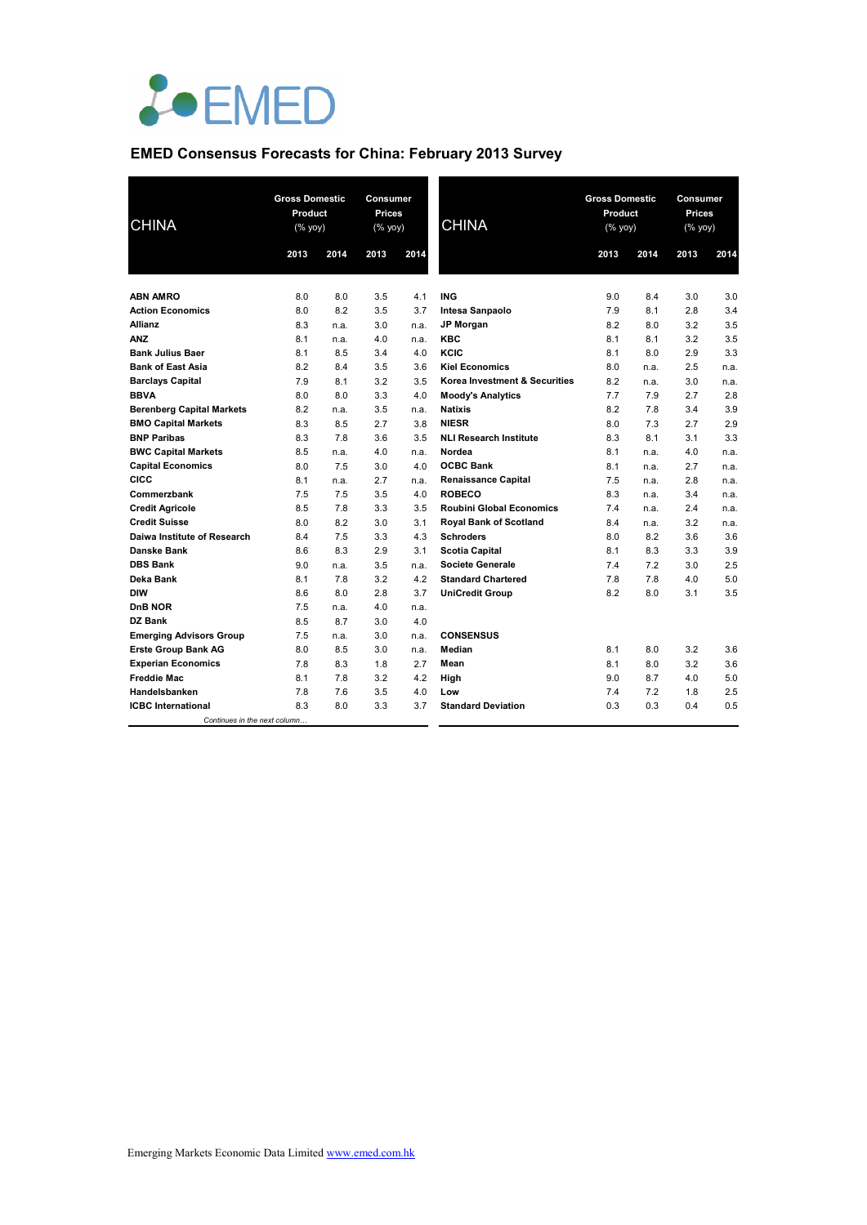

# **EMED Consensus Forecasts for China: February 2013 Survey**

| <b>CHINA</b>                     | <b>Gross Domestic</b><br>Product<br>$(% \mathsf{Y}^{\prime }\mathsf{Y}^{\prime }\mathsf{Y}^{\prime })$ |      | Consumer<br><b>Prices</b><br>$(% \mathsf{Y}^{\prime }\mathsf{Y}^{\prime }\mathsf{Y}^{\prime })$ |      | <b>CHINA</b>                    | <b>Gross Domestic</b><br>Product<br>(% yoy) |      |      | <b>Consumer</b><br><b>Prices</b><br>(% yoy) |  |
|----------------------------------|--------------------------------------------------------------------------------------------------------|------|-------------------------------------------------------------------------------------------------|------|---------------------------------|---------------------------------------------|------|------|---------------------------------------------|--|
|                                  | 2013                                                                                                   | 2014 | 2013                                                                                            | 2014 |                                 | 2013                                        | 2014 | 2013 | 2014                                        |  |
| <b>ABN AMRO</b>                  | 8.0                                                                                                    | 8.0  | 3.5                                                                                             | 4.1  | <b>ING</b>                      | 9.0                                         | 8.4  | 3.0  | 3.0                                         |  |
| <b>Action Economics</b>          | 8.0                                                                                                    | 8.2  | 3.5                                                                                             | 3.7  | Intesa Sanpaolo                 | 7.9                                         | 8.1  | 2.8  | 3.4                                         |  |
| Allianz                          | 8.3                                                                                                    | n.a. | 3.0                                                                                             | n.a. | <b>JP Morgan</b>                | 8.2                                         | 8.0  | 3.2  | 3.5                                         |  |
| <b>ANZ</b>                       | 8.1                                                                                                    | n.a. | 4.0                                                                                             | n.a. | <b>KBC</b>                      | 8.1                                         | 8.1  | 3.2  | 3.5                                         |  |
| <b>Bank Julius Baer</b>          | 8.1                                                                                                    | 8.5  | 3.4                                                                                             | 4.0  | KCIC                            | 8.1                                         | 8.0  | 2.9  | 3.3                                         |  |
| <b>Bank of East Asia</b>         | 8.2                                                                                                    | 8.4  | 3.5                                                                                             | 3.6  | <b>Kiel Economics</b>           | 8.0                                         | n.a. | 2.5  | n.a.                                        |  |
| <b>Barclays Capital</b>          | 7.9                                                                                                    | 8.1  | 3.2                                                                                             | 3.5  | Korea Investment & Securities   | 8.2                                         | n.a. | 3.0  | n.a.                                        |  |
| <b>BBVA</b>                      | 8.0                                                                                                    | 8.0  | 3.3                                                                                             | 4.0  | <b>Moody's Analytics</b>        | 7.7                                         | 7.9  | 2.7  | 2.8                                         |  |
| <b>Berenberg Capital Markets</b> | 8.2                                                                                                    | n.a. | 3.5                                                                                             | n.a. | <b>Natixis</b>                  | 8.2                                         | 7.8  | 3.4  | 3.9                                         |  |
| <b>BMO Capital Markets</b>       | 8.3                                                                                                    | 8.5  | 2.7                                                                                             | 3.8  | <b>NIESR</b>                    | 8.0                                         | 7.3  | 2.7  | 2.9                                         |  |
| <b>BNP Paribas</b>               | 8.3                                                                                                    | 7.8  | 3.6                                                                                             | 3.5  | <b>NLI Research Institute</b>   | 8.3                                         | 8.1  | 3.1  | 3.3                                         |  |
| <b>BWC Capital Markets</b>       | 8.5                                                                                                    | n.a. | 4.0                                                                                             | n.a. | Nordea                          | 8.1                                         | n.a. | 4.0  | n.a.                                        |  |
| <b>Capital Economics</b>         | 8.0                                                                                                    | 7.5  | 3.0                                                                                             | 4.0  | <b>OCBC Bank</b>                | 8.1                                         | n.a. | 2.7  | n.a.                                        |  |
| CICC                             | 8.1                                                                                                    | n.a. | 2.7                                                                                             | n.a. | <b>Renaissance Capital</b>      | 7.5                                         | n.a. | 2.8  | n.a.                                        |  |
| Commerzbank                      | 7.5                                                                                                    | 7.5  | 3.5                                                                                             | 4.0  | <b>ROBECO</b>                   | 8.3                                         | n.a. | 3.4  | n.a.                                        |  |
| <b>Credit Agricole</b>           | 8.5                                                                                                    | 7.8  | 3.3                                                                                             | 3.5  | <b>Roubini Global Economics</b> | 7.4                                         | n.a. | 2.4  | n.a.                                        |  |
| <b>Credit Suisse</b>             | 8.0                                                                                                    | 8.2  | 3.0                                                                                             | 3.1  | <b>Royal Bank of Scotland</b>   | 8.4                                         | n.a. | 3.2  | n.a.                                        |  |
| Daiwa Institute of Research      | 8.4                                                                                                    | 7.5  | 3.3                                                                                             | 4.3  | <b>Schroders</b>                | 8.0                                         | 8.2  | 3.6  | 3.6                                         |  |
| <b>Danske Bank</b>               | 8.6                                                                                                    | 8.3  | 2.9                                                                                             | 3.1  | <b>Scotia Capital</b>           | 8.1                                         | 8.3  | 3.3  | 3.9                                         |  |
| <b>DBS Bank</b>                  | 9.0                                                                                                    | n.a. | 3.5                                                                                             | n.a. | <b>Societe Generale</b>         | 7.4                                         | 7.2  | 3.0  | 2.5                                         |  |
| Deka Bank                        | 8.1                                                                                                    | 7.8  | 3.2                                                                                             | 4.2  | <b>Standard Chartered</b>       | 7.8                                         | 7.8  | 4.0  | 5.0                                         |  |
| <b>DIW</b>                       | 8.6                                                                                                    | 8.0  | 2.8                                                                                             | 3.7  | <b>UniCredit Group</b>          | 8.2                                         | 8.0  | 3.1  | 3.5                                         |  |
| DnB NOR                          | 7.5                                                                                                    | n.a. | 4.0                                                                                             | n.a. |                                 |                                             |      |      |                                             |  |
| DZ Bank                          | 8.5                                                                                                    | 8.7  | 3.0                                                                                             | 4.0  |                                 |                                             |      |      |                                             |  |
| <b>Emerging Advisors Group</b>   | 7.5                                                                                                    | n.a. | 3.0                                                                                             | n.a. | <b>CONSENSUS</b>                |                                             |      |      |                                             |  |
| <b>Erste Group Bank AG</b>       | 8.0                                                                                                    | 8.5  | 3.0                                                                                             | n.a. | Median                          | 8.1                                         | 8.0  | 3.2  | 3.6                                         |  |
| <b>Experian Economics</b>        | 7.8                                                                                                    | 8.3  | 1.8                                                                                             | 2.7  | Mean                            | 8.1                                         | 8.0  | 3.2  | 3.6                                         |  |
| <b>Freddie Mac</b>               | 8.1                                                                                                    | 7.8  | 3.2                                                                                             | 4.2  | High                            | 9.0                                         | 8.7  | 4.0  | 5.0                                         |  |
| Handelsbanken                    | 7.8                                                                                                    | 7.6  | 3.5                                                                                             | 4.0  | Low                             | 7.4                                         | 7.2  | 1.8  | 2.5                                         |  |
| <b>ICBC</b> International        | 8.3                                                                                                    | 8.0  | 3.3                                                                                             | 3.7  | <b>Standard Deviation</b>       | 0.3                                         | 0.3  | 0.4  | 0.5                                         |  |
| Continues in the next column     |                                                                                                        |      |                                                                                                 |      |                                 |                                             |      |      |                                             |  |